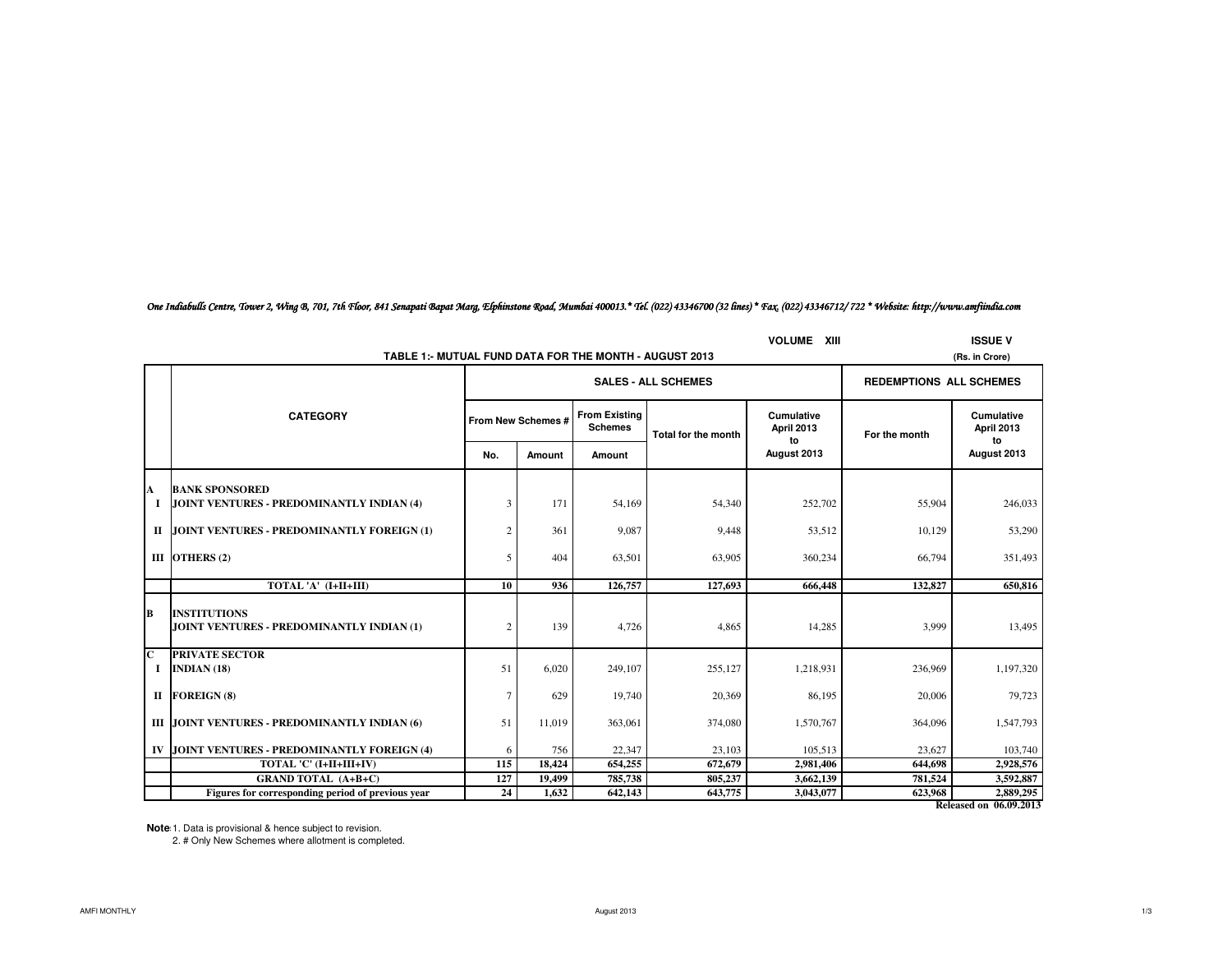*One Indiabulls Centre, Tower 2, Wing B, 701, 7th Floor, 841 Senapati Bapat Marg, Elphinstone Road, Mumbai 400013.\* Tel. (022) 43346700 (32 lines) \* Fax. (022) 43346712/ 722 \* Website: http://www.amfiindia.com*

|                                                                               | TABLE 1:- MUTUAL FUND DATA FOR THE MONTH - AUGUST 2013 |                    | <b>SALES - ALL SCHEMES</b> |                     |                                 |                                | (Rs. in Crore)                        |
|-------------------------------------------------------------------------------|--------------------------------------------------------|--------------------|----------------------------|---------------------|---------------------------------|--------------------------------|---------------------------------------|
|                                                                               |                                                        |                    |                            |                     |                                 |                                |                                       |
|                                                                               |                                                        |                    |                            |                     |                                 | <b>REDEMPTIONS ALL SCHEMES</b> |                                       |
| <b>CATEGORY</b>                                                               |                                                        | From New Schemes # |                            | Total for the month | <b>Cumulative</b><br>April 2013 | For the month                  | <b>Cumulative</b><br>April 2013<br>to |
|                                                                               | No.                                                    | Amount             | Amount                     |                     | to<br>August 2013               |                                | August 2013                           |
| <b>BANK SPONSORED</b><br>A<br>JOINT VENTURES - PREDOMINANTLY INDIAN (4)<br>-1 | 3                                                      | 171                | 54,169                     | 54,340              | 252,702                         | 55,904                         | 246,033                               |
| JOINT VENTURES - PREDOMINANTLY FOREIGN (1)<br>П                               | $\overline{2}$                                         | 361                | 9,087                      | 9,448               | 53,512                          | 10,129                         | 53,290                                |
| III OTHERS $(2)$                                                              | 5                                                      | 404                | 63,501                     | 63,905              | 360,234                         | 66,794                         | 351,493                               |
| TOTAL 'A' (I+II+III)                                                          | 10                                                     | 936                | 126,757                    | 127,693             | 666,448                         | 132,827                        | 650.816                               |
| lB.<br><b>INSTITUTIONS</b><br>JOINT VENTURES - PREDOMINANTLY INDIAN (1)       | $\overline{2}$                                         | 139                | 4,726                      | 4,865               | 14,285                          | 3,999                          | 13,495                                |
| <b>PRIVATE SECTOR</b><br>C<br><b>INDIAN (18)</b><br>-1                        | 51                                                     | 6,020              | 249,107                    | 255,127             | 1,218,931                       | 236,969                        | 1,197,320                             |
| <b>FOREIGN (8)</b><br>П                                                       | $\overline{7}$                                         | 629                | 19,740                     | 20,369              | 86,195                          | 20,006                         | 79,723                                |
| III JOINT VENTURES - PREDOMINANTLY INDIAN (6)                                 | 51                                                     | 11,019             | 363,061                    | 374,080             | 1,570,767                       | 364,096                        | 1,547,793                             |
| JOINT VENTURES - PREDOMINANTLY FOREIGN (4)<br>IV                              | 6                                                      | 756                | 22,347                     | 23,103              | 105,513                         | 23,627                         | 103,740                               |
| TOTAL 'C' (I+II+III+IV)                                                       | 115                                                    | 18,424             | 654,255                    | 672,679             | 2,981,406                       | 644,698                        | 2,928,576                             |
| <b>GRAND TOTAL (A+B+C)</b>                                                    | 127                                                    | 19,499             | 785,738                    | 805,237             | 3,662,139                       | 781,524                        | 3,592,887                             |
| Figures for corresponding period of previous year                             | 24                                                     | 1.632              | 642,143                    | 643,775             | 3,043,077                       | 623.968                        | 2,889,295<br>Released on 06.09.2013   |

**Notes:**1. Data is provisional & hence subject to revision. 2. # Only New Schemes where allotment is completed.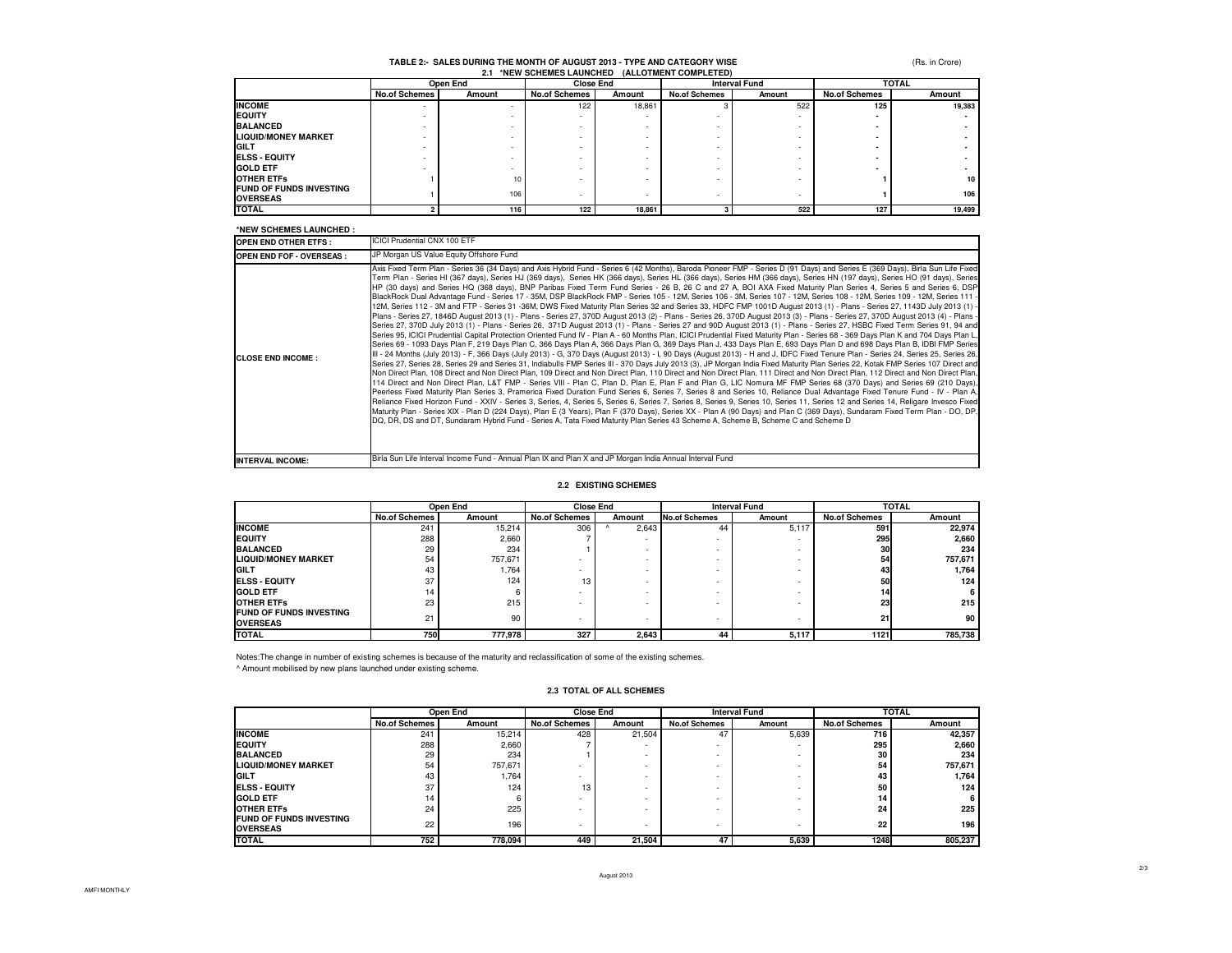(Rs. in Crore)

# **TABLE 2:- SALES DURING THE MONTH OF AUGUST 2013 - TYPE AND CATEGORY WISE 2.1 \*NEW SCHEMES LAUNCHED (ALLOTMENT COMPLETED)**

| ---                                               |                          |        |                      |        |                      |        |                      |        |  |
|---------------------------------------------------|--------------------------|--------|----------------------|--------|----------------------|--------|----------------------|--------|--|
|                                                   | Open End                 |        | <b>Close End</b>     |        | <b>Interval Fund</b> |        | <b>TOTAL</b>         |        |  |
|                                                   | <b>No.of Schemes</b>     | Amount | <b>No.of Schemes</b> | Amount | <b>No.of Schemes</b> | Amount | <b>No.of Schemes</b> | Amount |  |
| <b>INCOME</b>                                     | $\overline{\phantom{a}}$ |        | 122                  | 18,861 |                      | 522    | 125                  | 19,383 |  |
| <b>EQUITY</b>                                     |                          |        |                      |        |                      |        |                      |        |  |
| <b>BALANCED</b>                                   |                          |        |                      |        |                      |        |                      |        |  |
| <b>LIQUID/MONEY MARKET</b>                        |                          |        |                      |        |                      |        |                      |        |  |
| <b>IGILT</b>                                      | -                        |        |                      |        |                      |        |                      |        |  |
| <b>ELSS - EQUITY</b>                              |                          |        |                      |        |                      |        |                      |        |  |
| <b>GOLD ETF</b>                                   |                          |        |                      |        |                      |        |                      |        |  |
| <b>OTHER ETFS</b>                                 |                          | 10     |                      |        |                      |        |                      | 10     |  |
| <b>FUND OF FUNDS INVESTING</b><br><b>OVERSEAS</b> |                          | 106    |                      |        |                      |        |                      | 106    |  |
| <b>TOTAL</b>                                      |                          | 116    | 122                  | 18,861 |                      | 522    | 127                  | 19,499 |  |

#### **\*NEW SCHEMES LAUNCHED :**

| <b>OPEN END OTHER ETFS:</b>     | ICICI Prudential CNX 100 ETF                                                                                                                                                                                                                                                                                                                                                                                                                                                                                                                                                                                                                                                                                                                                                                                                                                                                                                                                                                                                                                                                                                                                                                                                                                                                                                                                                                                                                                                                                                                                                                                                                                                                                                                                                                                                                                                                                                                                                                                                                                                                                                                                                                                                                                                                                                                                                                                                                                                                                                                                                                                                                                                                                                                                                                                                                                                |
|---------------------------------|-----------------------------------------------------------------------------------------------------------------------------------------------------------------------------------------------------------------------------------------------------------------------------------------------------------------------------------------------------------------------------------------------------------------------------------------------------------------------------------------------------------------------------------------------------------------------------------------------------------------------------------------------------------------------------------------------------------------------------------------------------------------------------------------------------------------------------------------------------------------------------------------------------------------------------------------------------------------------------------------------------------------------------------------------------------------------------------------------------------------------------------------------------------------------------------------------------------------------------------------------------------------------------------------------------------------------------------------------------------------------------------------------------------------------------------------------------------------------------------------------------------------------------------------------------------------------------------------------------------------------------------------------------------------------------------------------------------------------------------------------------------------------------------------------------------------------------------------------------------------------------------------------------------------------------------------------------------------------------------------------------------------------------------------------------------------------------------------------------------------------------------------------------------------------------------------------------------------------------------------------------------------------------------------------------------------------------------------------------------------------------------------------------------------------------------------------------------------------------------------------------------------------------------------------------------------------------------------------------------------------------------------------------------------------------------------------------------------------------------------------------------------------------------------------------------------------------------------------------------------------------|
| <b>OPEN END FOF - OVERSEAS:</b> | JP Morgan US Value Equity Offshore Fund                                                                                                                                                                                                                                                                                                                                                                                                                                                                                                                                                                                                                                                                                                                                                                                                                                                                                                                                                                                                                                                                                                                                                                                                                                                                                                                                                                                                                                                                                                                                                                                                                                                                                                                                                                                                                                                                                                                                                                                                                                                                                                                                                                                                                                                                                                                                                                                                                                                                                                                                                                                                                                                                                                                                                                                                                                     |
| <b>CLOSE END INCOME:</b>        | Axis Fixed Term Plan - Series 36 (34 Days) and Axis Hybrid Fund - Series 6 (42 Months), Baroda Pioneer FMP - Series D (91 Days) and Series E (369 Days), Birla Sun Life Fixed<br>Term Plan - Series HI (367 days), Series HJ (369 days), Series HK (366 days), Series HL (366 days), Series HM (366 days), Series HN (197 days), Series HO (91 days), Series<br>HP (30 days) and Series HQ (368 days), BNP Paribas Fixed Term Fund Series - 26 B, 26 C and 27 A, BOI AXA Fixed Maturity Plan Series 4, Series 5 and Series 6, DSP<br>BlackRock Dual Advantage Fund - Series 17 - 35M, DSP BlackRock FMP - Series 105 - 12M, Series 106 - 3M, Series 107 - 12M, Series 108 - 12M, Series 109 - 12M, Series 111 -<br>Plans - Series 27, 1846D August 2013 (1) - Plans - Series 27, 370D August 2013 (2) - Plans - Series 26, 370D August 2013 (3) - Plans - Series 27, 370D August 2013 (4) - Plans -<br>Series 27, 370D July 2013 (1) - Plans - Series 26, 371D August 2013 (1) - Plans - Series 27 and 90D August 2013 (1) - Plans - Series 27, HSBC Fixed Term Series 91, 94 and<br>Series 95, ICICI Prudential Capital Protection Oriented Fund IV - Plan A - 60 Months Plan, ICICI Prudential Fixed Maturity Plan - Series 68 - 369 Days Plan K and 704 Days Plan L,<br>Series 69 - 1093 Days Plan F, 219 Days Plan C, 366 Days Plan A, 366 Days Plan G, 369 Days Plan J, 433 Days Plan E, 693 Days Plan D and 698 Days Plan B, IDBI FMP Series<br>II - 24 Months (July 2013) - F, 366 Days (July 2013) - G, 370 Days (August 2013) - I, 90 Days (August 2013) - H and J, IDFC Fixed Tenure Plan - Series 24, Series 25, Series 26,<br>Series 27, Series 28, Series 29 and Series 31, Indiabulls FMP Series III - 370 Days July 2013 (3), JP Morgan India Fixed Maturity Plan Series 22, Kotak FMP Series 107 Direct and<br>Non Direct Plan, 108 Direct and Non Direct Plan, 109 Direct and Non Direct Plan, 110 Direct and Non Direct Plan, 111 Direct and Non Direct Plan, 112 Direct and Non Direct Plan,<br>114 Direct and Non Direct Plan, L&T FMP - Series VIII - Plan C, Plan D, Plan E, Plan F and Plan G, LIC Nomura MF FMP Series 68 (370 Days) and Series 69 (210 Days),<br>Peerless Fixed Maturity Plan Series 3, Pramerica Fixed Duration Fund Series 6, Series 7, Series 8 and Series 10, Reliance Dual Advantage Fixed Tenure Fund - IV - Plan A,<br>Reliance Fixed Horizon Fund - XXIV - Series 3, Series, 4, Series 5, Series 6, Series 7, Series 8, Series 9, Series 10, Series 11, Series 12 and Series 14, Religare Invesco Fixed<br>Maturity Plan - Series XIX - Plan D (224 Days), Plan E (3 Years), Plan F (370 Days), Series XX - Plan A (90 Days) and Plan C (369 Days), Sundaram Fixed Term Plan - DO, DP,<br>DQ, DR, DS and DT, Sundaram Hybrid Fund - Series A, Tata Fixed Maturity Plan Series 43 Scheme A, Scheme B, Scheme C and Scheme D |
| <b>INTERVAL INCOME:</b>         | Birla Sun Life Interval Income Fund - Annual Plan IX and Plan X and JP Morgan India Annual Interval Fund                                                                                                                                                                                                                                                                                                                                                                                                                                                                                                                                                                                                                                                                                                                                                                                                                                                                                                                                                                                                                                                                                                                                                                                                                                                                                                                                                                                                                                                                                                                                                                                                                                                                                                                                                                                                                                                                                                                                                                                                                                                                                                                                                                                                                                                                                                                                                                                                                                                                                                                                                                                                                                                                                                                                                                    |

#### **2.2 EXISTING SCHEMES**

|                                                   | Open End             |         | <b>Close End</b>     |                          | <b>Interval Fund</b> |        | <b>TOTAL</b>         |         |
|---------------------------------------------------|----------------------|---------|----------------------|--------------------------|----------------------|--------|----------------------|---------|
|                                                   | <b>No.of Schemes</b> | Amount  | <b>No.of Schemes</b> | Amount                   | <b>No.of Schemes</b> | Amount | <b>No.of Schemes</b> | Amount  |
| <b>INCOME</b>                                     | 241                  | 15.214  | 306                  | 2,643                    | 44                   | 5,117  | 591                  | 22.974  |
| <b>EQUITY</b>                                     | 288                  | 2.660   |                      |                          |                      |        | 295                  | 2,660   |
| <b>BALANCED</b>                                   | 29                   | 234     |                      |                          |                      |        | 30                   | 234     |
| <b>LIQUID/MONEY MARKET</b>                        | 54                   | 757.671 |                      | $\overline{\phantom{a}}$ |                      |        | 54                   | 757.671 |
| <b>GILT</b>                                       | 43                   | 1,764   |                      | $\overline{\phantom{a}}$ |                      |        | 43                   | 1.764   |
| <b>IELSS - EQUITY</b>                             | 37                   | 124     | 13                   | $\overline{\phantom{a}}$ |                      |        | 50                   | 124     |
| <b>GOLD ETF</b>                                   | 14                   | 6       |                      | $\overline{\phantom{a}}$ |                      |        | 14                   | 6       |
| <b>OTHER ETFS</b>                                 | 23                   | 215     |                      | $\overline{\phantom{a}}$ |                      |        | 23                   | 215     |
| <b>FUND OF FUNDS INVESTING</b><br><b>OVERSEAS</b> | 21                   | 90      |                      | $\overline{\phantom{a}}$ |                      | ٠      | 21                   | 90      |
| <b>TOTAL</b>                                      | 750                  | 777.978 | 327                  | 2.643                    | 44                   | 5,117  | 1121                 | 785,738 |

Notes:The change in number of existing schemes is because of the maturity and reclassification of some of the existing schemes.

^ Amount mobilised by new plans launched under existing scheme.

#### **2.3 TOTAL OF ALL SCHEMES**

|                                                   | Open End             |         | <b>Close End</b>     |        | <b>Interval Fund</b> |        | <b>TOTAL</b>         |         |
|---------------------------------------------------|----------------------|---------|----------------------|--------|----------------------|--------|----------------------|---------|
|                                                   | <b>No.of Schemes</b> | Amount  | <b>No.of Schemes</b> | Amount | <b>No.of Schemes</b> | Amount | <b>No.of Schemes</b> | Amount  |
| <b>INCOME</b>                                     | 241                  | 15.214  | 428                  | 21.504 | 47                   | 5,639  | 716                  | 42.357  |
| <b>EQUITY</b>                                     | 288                  | 2.660   |                      | ٠      |                      |        | 295                  | 2,660   |
| <b>BALANCED</b>                                   | 29                   | 234     |                      | ٠      |                      |        | 30                   | 234     |
| <b>LIQUID/MONEY MARKET</b>                        | 54                   | 757.671 |                      |        |                      |        | 54                   | 757,671 |
| <b>IGILT</b>                                      | 43                   | 1,764   |                      |        |                      |        | 43                   | 1,764   |
| <b>IELSS - EQUITY</b>                             | 37                   | 124     | 13                   |        |                      |        | 50                   | 124     |
| <b>GOLD ETF</b>                                   | 14                   |         |                      |        |                      |        | 14                   | 6       |
| <b>OTHER ETFS</b>                                 | 24                   | 225     |                      |        |                      |        | 24                   | 225     |
| <b>FUND OF FUNDS INVESTING</b><br><b>OVERSEAS</b> | 22                   | 196     |                      | ٠      |                      |        | 22                   | 196     |
| <b>TOTAL</b>                                      | 752                  | 778,094 | 449                  | 21,504 | 47                   | 5,639  | 1248                 | 805,237 |